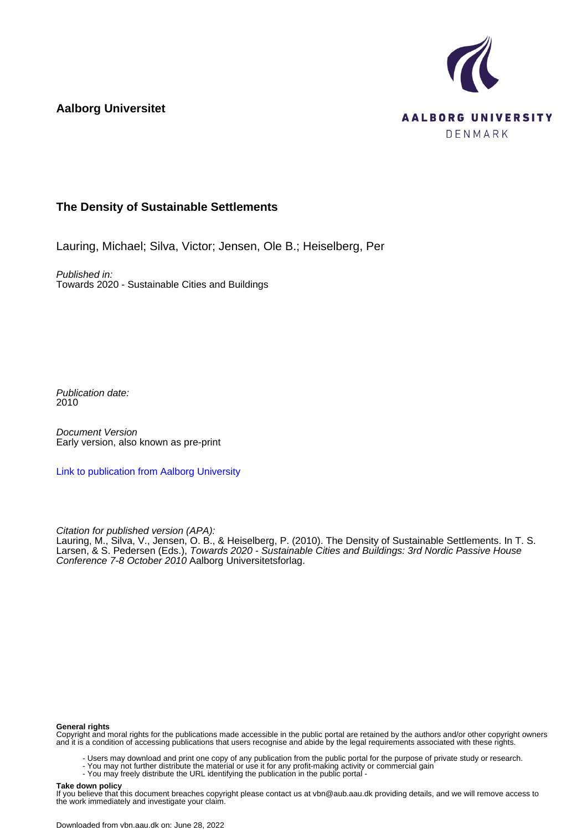**Aalborg Universitet**



#### **The Density of Sustainable Settlements**

Lauring, Michael; Silva, Victor; Jensen, Ole B.; Heiselberg, Per

Published in: Towards 2020 - Sustainable Cities and Buildings

Publication date: 2010

Document Version Early version, also known as pre-print

[Link to publication from Aalborg University](https://vbn.aau.dk/en/publications/98ebb649-c259-4501-b5c3-576289402df7)

Citation for published version (APA):

Lauring, M., Silva, V., Jensen, O. B., & Heiselberg, P. (2010). The Density of Sustainable Settlements. In T. S. Larsen, & S. Pedersen (Eds.), Towards 2020 - Sustainable Cities and Buildings: 3rd Nordic Passive House Conference 7-8 October 2010 Aalborg Universitetsforlag.

#### **General rights**

Copyright and moral rights for the publications made accessible in the public portal are retained by the authors and/or other copyright owners and it is a condition of accessing publications that users recognise and abide by the legal requirements associated with these rights.

- Users may download and print one copy of any publication from the public portal for the purpose of private study or research.
- You may not further distribute the material or use it for any profit-making activity or commercial gain
	- You may freely distribute the URL identifying the publication in the public portal -

#### **Take down policy**

If you believe that this document breaches copyright please contact us at vbn@aub.aau.dk providing details, and we will remove access to the work immediately and investigate your claim.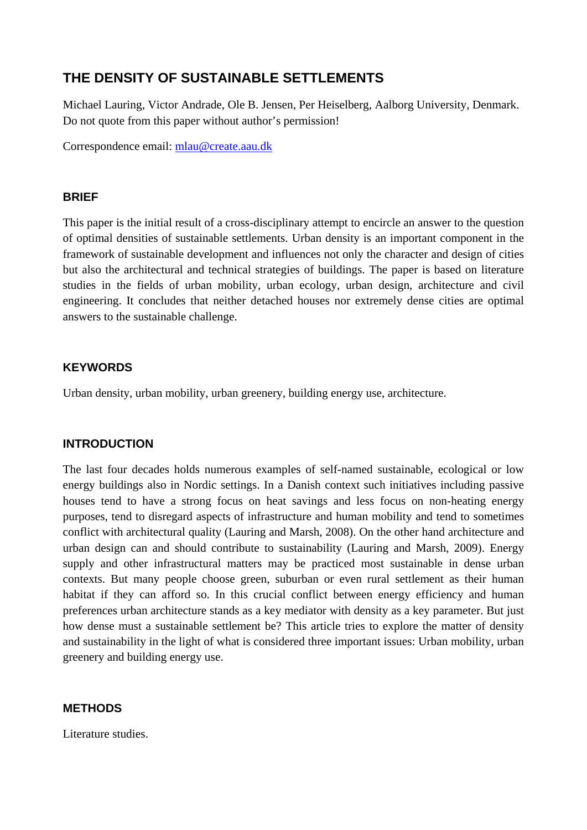# **THE DENSITY OF SUSTAINABLE SETTLEMENTS**

Michael Lauring, Victor Andrade, Ole B. Jensen, Per Heiselberg, Aalborg University, Denmark. Do not quote from this paper without author's permission!

Correspondence email: [mlau@create.aau.dk](mailto:mlau@create.aau.dk)

## **BRIEF**

This paper is the initial result of a cross-disciplinary attempt to encircle an answer to the question of optimal densities of sustainable settlements. Urban density is an important component in the framework of sustainable development and influences not only the character and design of cities but also the architectural and technical strategies of buildings. The paper is based on literature studies in the fields of urban mobility, urban ecology, urban design, architecture and civil engineering. It concludes that neither detached houses nor extremely dense cities are optimal answers to the sustainable challenge.

## **KEYWORDS**

Urban density, urban mobility, urban greenery, building energy use, architecture.

#### **INTRODUCTION**

The last four decades holds numerous examples of self-named sustainable, ecological or low energy buildings also in Nordic settings. In a Danish context such initiatives including passive houses tend to have a strong focus on heat savings and less focus on non-heating energy purposes, tend to disregard aspects of infrastructure and human mobility and tend to sometimes conflict with architectural quality (Lauring and Marsh, 2008). On the other hand architecture and urban design can and should contribute to sustainability (Lauring and Marsh, 2009). Energy supply and other infrastructural matters may be practiced most sustainable in dense urban contexts. But many people choose green, suburban or even rural settlement as their human habitat if they can afford so. In this crucial conflict between energy efficiency and human preferences urban architecture stands as a key mediator with density as a key parameter. But just how dense must a sustainable settlement be? This article tries to explore the matter of density and sustainability in the light of what is considered three important issues: Urban mobility, urban greenery and building energy use.

#### **METHODS**

Literature studies.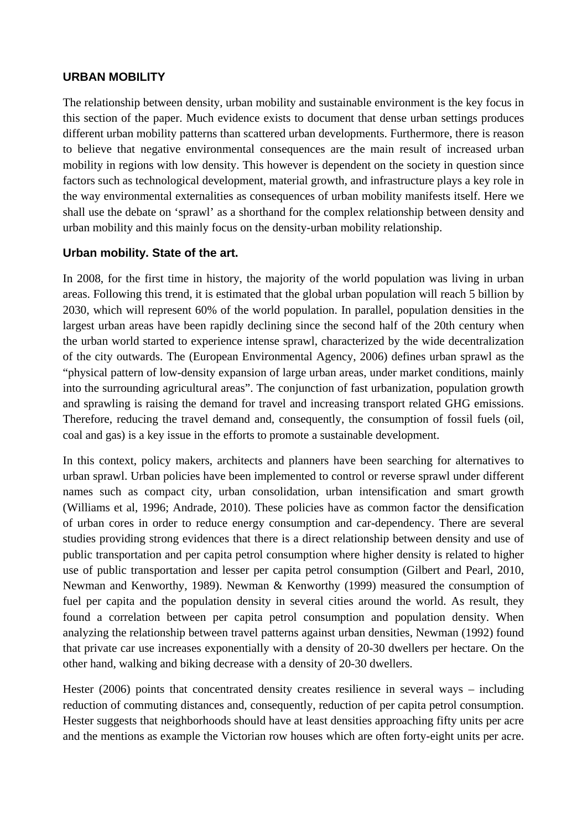#### **URBAN MOBILITY**

The relationship between density, urban mobility and sustainable environment is the key focus in this section of the paper. Much evidence exists to document that dense urban settings produces different urban mobility patterns than scattered urban developments. Furthermore, there is reason to believe that negative environmental consequences are the main result of increased urban mobility in regions with low density. This however is dependent on the society in question since factors such as technological development, material growth, and infrastructure plays a key role in the way environmental externalities as consequences of urban mobility manifests itself. Here we shall use the debate on 'sprawl' as a shorthand for the complex relationship between density and urban mobility and this mainly focus on the density-urban mobility relationship.

#### **Urban mobility. State of the art.**

In 2008, for the first time in history, the majority of the world population was living in urban areas. Following this trend, it is estimated that the global urban population will reach 5 billion by 2030, which will represent 60% of the world population. In parallel, population densities in the largest urban areas have been rapidly declining since the second half of the 20th century when the urban world started to experience intense sprawl, characterized by the wide decentralization of the city outwards. The (European Environmental Agency, 2006) defines urban sprawl as the "physical pattern of low-density expansion of large urban areas, under market conditions, mainly into the surrounding agricultural areas". The conjunction of fast urbanization, population growth and sprawling is raising the demand for travel and increasing transport related GHG emissions. Therefore, reducing the travel demand and, consequently, the consumption of fossil fuels (oil, coal and gas) is a key issue in the efforts to promote a sustainable development.

In this context, policy makers, architects and planners have been searching for alternatives to urban sprawl. Urban policies have been implemented to control or reverse sprawl under different names such as compact city, urban consolidation, urban intensification and smart growth (Williams et al, 1996; Andrade, 2010). These policies have as common factor the densification of urban cores in order to reduce energy consumption and car-dependency. There are several studies providing strong evidences that there is a direct relationship between density and use of public transportation and per capita petrol consumption where higher density is related to higher use of public transportation and lesser per capita petrol consumption (Gilbert and Pearl, 2010, Newman and Kenworthy, 1989). Newman & Kenworthy (1999) measured the consumption of fuel per capita and the population density in several cities around the world. As result, they found a correlation between per capita petrol consumption and population density. When analyzing the relationship between travel patterns against urban densities, Newman (1992) found that private car use increases exponentially with a density of 20-30 dwellers per hectare. On the other hand, walking and biking decrease with a density of 20-30 dwellers.

Hester (2006) points that concentrated density creates resilience in several ways – including reduction of commuting distances and, consequently, reduction of per capita petrol consumption. Hester suggests that neighborhoods should have at least densities approaching fifty units per acre and the mentions as example the Victorian row houses which are often forty-eight units per acre.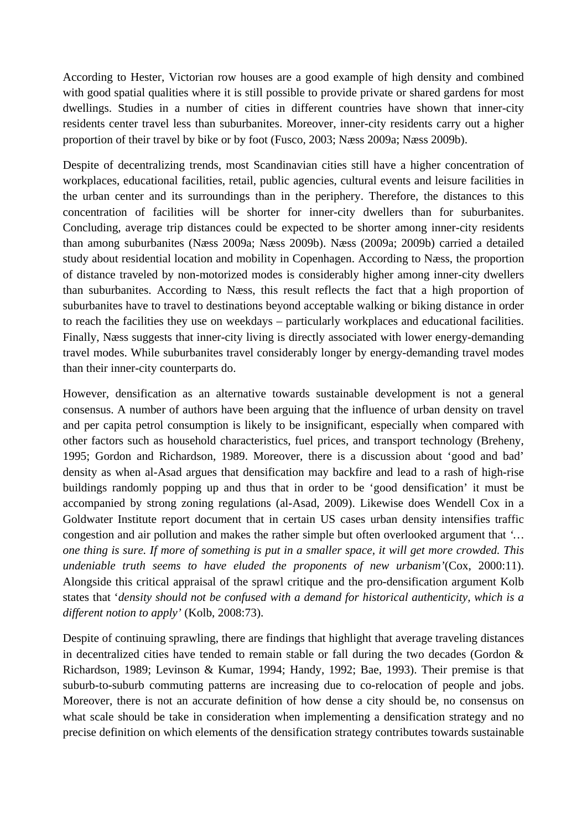According to Hester, Victorian row houses are a good example of high density and combined with good spatial qualities where it is still possible to provide private or shared gardens for most dwellings. Studies in a number of cities in different countries have shown that inner-city residents center travel less than suburbanites. Moreover, inner-city residents carry out a higher proportion of their travel by bike or by foot (Fusco, 2003; Næss 2009a; Næss 2009b).

Despite of decentralizing trends, most Scandinavian cities still have a higher concentration of workplaces, educational facilities, retail, public agencies, cultural events and leisure facilities in the urban center and its surroundings than in the periphery. Therefore, the distances to this concentration of facilities will be shorter for inner-city dwellers than for suburbanites. Concluding, average trip distances could be expected to be shorter among inner-city residents than among suburbanites (Næss 2009a; Næss 2009b). Næss (2009a; 2009b) carried a detailed study about residential location and mobility in Copenhagen. According to Næss, the proportion of distance traveled by non-motorized modes is considerably higher among inner-city dwellers than suburbanites. According to Næss, this result reflects the fact that a high proportion of suburbanites have to travel to destinations beyond acceptable walking or biking distance in order to reach the facilities they use on weekdays – particularly workplaces and educational facilities. Finally, Næss suggests that inner-city living is directly associated with lower energy-demanding travel modes. While suburbanites travel considerably longer by energy-demanding travel modes than their inner-city counterparts do.

However, densification as an alternative towards sustainable development is not a general consensus. A number of authors have been arguing that the influence of urban density on travel and per capita petrol consumption is likely to be insignificant, especially when compared with other factors such as household characteristics, fuel prices, and transport technology (Breheny, 1995; Gordon and Richardson, 1989. Moreover, there is a discussion about 'good and bad' density as when al-Asad argues that densification may backfire and lead to a rash of high-rise buildings randomly popping up and thus that in order to be 'good densification' it must be accompanied by strong zoning regulations (al-Asad, 2009). Likewise does Wendell Cox in a Goldwater Institute report document that in certain US cases urban density intensifies traffic congestion and air pollution and makes the rather simple but often overlooked argument that *'… one thing is sure. If more of something is put in a smaller space, it will get more crowded. This undeniable truth seems to have eluded the proponents of new urbanism'*(Cox, 2000:11). Alongside this critical appraisal of the sprawl critique and the pro-densification argument Kolb states that '*density should not be confused with a demand for historical authenticity, which is a different notion to apply'* (Kolb, 2008:73).

Despite of continuing sprawling, there are findings that highlight that average traveling distances in decentralized cities have tended to remain stable or fall during the two decades (Gordon  $\&$ Richardson, 1989; Levinson & Kumar, 1994; Handy, 1992; Bae, 1993). Their premise is that suburb-to-suburb commuting patterns are increasing due to co-relocation of people and jobs. Moreover, there is not an accurate definition of how dense a city should be, no consensus on what scale should be take in consideration when implementing a densification strategy and no precise definition on which elements of the densification strategy contributes towards sustainable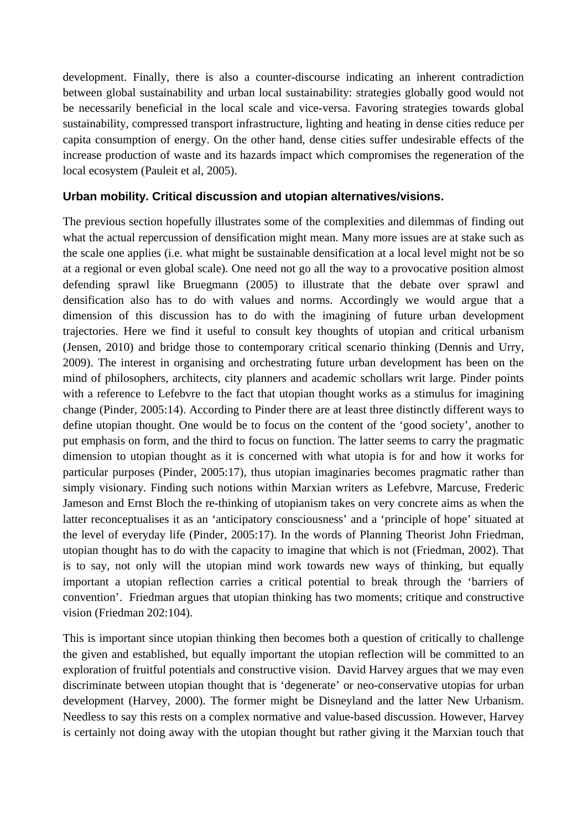development. Finally, there is also a counter-discourse indicating an inherent contradiction between global sustainability and urban local sustainability: strategies globally good would not be necessarily beneficial in the local scale and vice-versa. Favoring strategies towards global sustainability, compressed transport infrastructure, lighting and heating in dense cities reduce per capita consumption of energy. On the other hand, dense cities suffer undesirable effects of the increase production of waste and its hazards impact which compromises the regeneration of the local ecosystem (Pauleit et al, 2005).

## **Urban mobility. Critical discussion and utopian alternatives/visions.**

The previous section hopefully illustrates some of the complexities and dilemmas of finding out what the actual repercussion of densification might mean. Many more issues are at stake such as the scale one applies (i.e. what might be sustainable densification at a local level might not be so at a regional or even global scale). One need not go all the way to a provocative position almost defending sprawl like Bruegmann (2005) to illustrate that the debate over sprawl and densification also has to do with values and norms. Accordingly we would argue that a dimension of this discussion has to do with the imagining of future urban development trajectories. Here we find it useful to consult key thoughts of utopian and critical urbanism (Jensen, 2010) and bridge those to contemporary critical scenario thinking (Dennis and Urry, 2009). The interest in organising and orchestrating future urban development has been on the mind of philosophers, architects, city planners and academic schollars writ large. Pinder points with a reference to Lefebvre to the fact that utopian thought works as a stimulus for imagining change (Pinder, 2005:14). According to Pinder there are at least three distinctly different ways to define utopian thought. One would be to focus on the content of the 'good society', another to put emphasis on form, and the third to focus on function. The latter seems to carry the pragmatic dimension to utopian thought as it is concerned with what utopia is for and how it works for particular purposes (Pinder, 2005:17), thus utopian imaginaries becomes pragmatic rather than simply visionary. Finding such notions within Marxian writers as Lefebvre, Marcuse, Frederic Jameson and Ernst Bloch the re-thinking of utopianism takes on very concrete aims as when the latter reconceptualises it as an 'anticipatory consciousness' and a 'principle of hope' situated at the level of everyday life (Pinder, 2005:17). In the words of Planning Theorist John Friedman, utopian thought has to do with the capacity to imagine that which is not (Friedman, 2002). That is to say, not only will the utopian mind work towards new ways of thinking, but equally important a utopian reflection carries a critical potential to break through the 'barriers of convention'. Friedman argues that utopian thinking has two moments; critique and constructive vision (Friedman 202:104).

This is important since utopian thinking then becomes both a question of critically to challenge the given and established, but equally important the utopian reflection will be committed to an exploration of fruitful potentials and constructive vision. David Harvey argues that we may even discriminate between utopian thought that is 'degenerate' or neo-conservative utopias for urban development (Harvey, 2000). The former might be Disneyland and the latter New Urbanism. Needless to say this rests on a complex normative and value-based discussion. However, Harvey is certainly not doing away with the utopian thought but rather giving it the Marxian touch that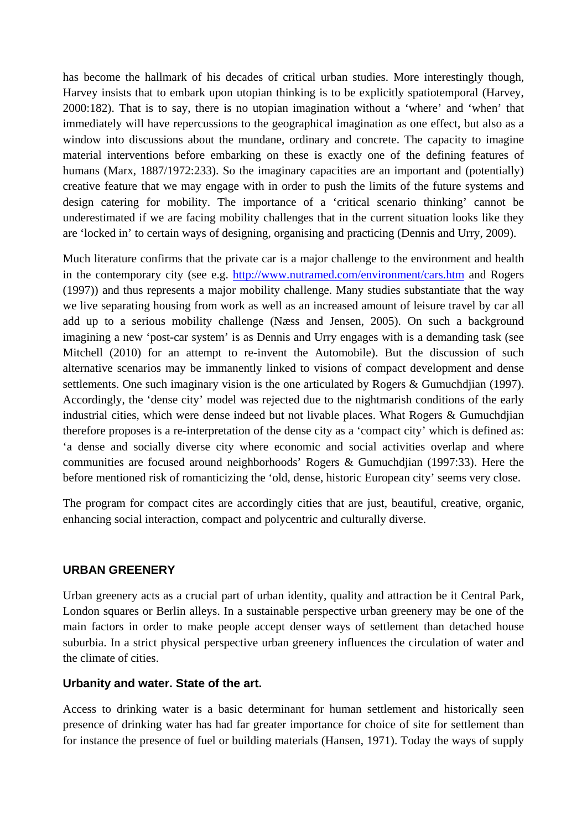has become the hallmark of his decades of critical urban studies. More interestingly though, Harvey insists that to embark upon utopian thinking is to be explicitly spatiotemporal (Harvey, 2000:182). That is to say, there is no utopian imagination without a 'where' and 'when' that immediately will have repercussions to the geographical imagination as one effect, but also as a window into discussions about the mundane, ordinary and concrete. The capacity to imagine material interventions before embarking on these is exactly one of the defining features of humans (Marx, 1887/1972:233). So the imaginary capacities are an important and (potentially) creative feature that we may engage with in order to push the limits of the future systems and design catering for mobility. The importance of a 'critical scenario thinking' cannot be underestimated if we are facing mobility challenges that in the current situation looks like they are 'locked in' to certain ways of designing, organising and practicing (Dennis and Urry, 2009).

Much literature confirms that the private car is a major challenge to the environment and health in the contemporary city (see e.g.<http://www.nutramed.com/environment/cars.htm> and Rogers (1997)) and thus represents a major mobility challenge. Many studies substantiate that the way we live separating housing from work as well as an increased amount of leisure travel by car all add up to a serious mobility challenge (Næss and Jensen, 2005). On such a background imagining a new 'post-car system' is as Dennis and Urry engages with is a demanding task (see Mitchell (2010) for an attempt to re-invent the Automobile). But the discussion of such alternative scenarios may be immanently linked to visions of compact development and dense settlements. One such imaginary vision is the one articulated by Rogers & Gumuchdian (1997). Accordingly, the 'dense city' model was rejected due to the nightmarish conditions of the early industrial cities, which were dense indeed but not livable places. What Rogers & Gumuchdjian therefore proposes is a re-interpretation of the dense city as a 'compact city' which is defined as: 'a dense and socially diverse city where economic and social activities overlap and where communities are focused around neighborhoods' Rogers & Gumuchdjian (1997:33). Here the before mentioned risk of romanticizing the 'old, dense, historic European city' seems very close.

The program for compact cites are accordingly cities that are just, beautiful, creative, organic, enhancing social interaction, compact and polycentric and culturally diverse.

#### **URBAN GREENERY**

Urban greenery acts as a crucial part of urban identity, quality and attraction be it Central Park, London squares or Berlin alleys. In a sustainable perspective urban greenery may be one of the main factors in order to make people accept denser ways of settlement than detached house suburbia. In a strict physical perspective urban greenery influences the circulation of water and the climate of cities.

#### **Urbanity and water. State of the art.**

Access to drinking water is a basic determinant for human settlement and historically seen presence of drinking water has had far greater importance for choice of site for settlement than for instance the presence of fuel or building materials (Hansen, 1971). Today the ways of supply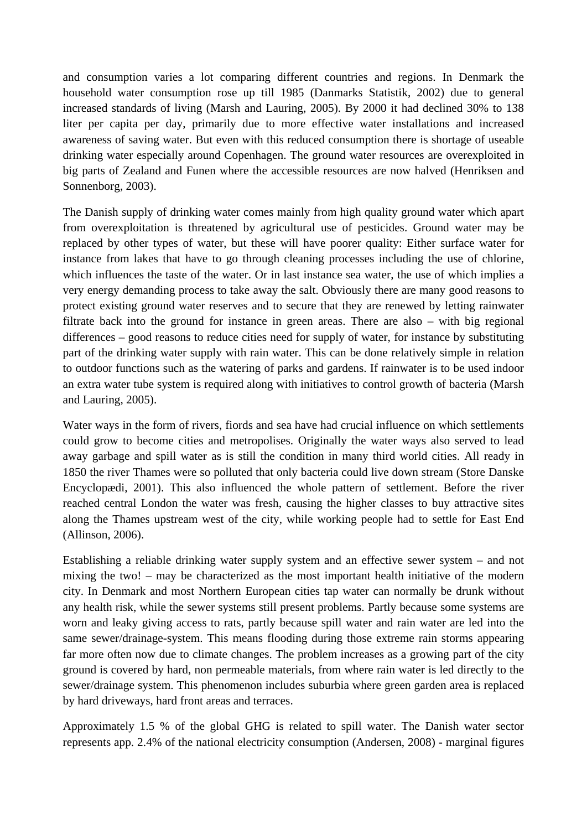and consumption varies a lot comparing different countries and regions. In Denmark the household water consumption rose up till 1985 (Danmarks Statistik, 2002) due to general increased standards of living (Marsh and Lauring, 2005). By 2000 it had declined 30% to 138 liter per capita per day, primarily due to more effective water installations and increased awareness of saving water. But even with this reduced consumption there is shortage of useable drinking water especially around Copenhagen. The ground water resources are overexploited in big parts of Zealand and Funen where the accessible resources are now halved (Henriksen and Sonnenborg, 2003).

The Danish supply of drinking water comes mainly from high quality ground water which apart from overexploitation is threatened by agricultural use of pesticides. Ground water may be replaced by other types of water, but these will have poorer quality: Either surface water for instance from lakes that have to go through cleaning processes including the use of chlorine, which influences the taste of the water. Or in last instance sea water, the use of which implies a very energy demanding process to take away the salt. Obviously there are many good reasons to protect existing ground water reserves and to secure that they are renewed by letting rainwater filtrate back into the ground for instance in green areas. There are also – with big regional differences – good reasons to reduce cities need for supply of water, for instance by substituting part of the drinking water supply with rain water. This can be done relatively simple in relation to outdoor functions such as the watering of parks and gardens. If rainwater is to be used indoor an extra water tube system is required along with initiatives to control growth of bacteria (Marsh and Lauring, 2005).

Water ways in the form of rivers, fiords and sea have had crucial influence on which settlements could grow to become cities and metropolises. Originally the water ways also served to lead away garbage and spill water as is still the condition in many third world cities. All ready in 1850 the river Thames were so polluted that only bacteria could live down stream (Store Danske Encyclopædi, 2001). This also influenced the whole pattern of settlement. Before the river reached central London the water was fresh, causing the higher classes to buy attractive sites along the Thames upstream west of the city, while working people had to settle for East End (Allinson, 2006).

Establishing a reliable drinking water supply system and an effective sewer system – and not mixing the two! – may be characterized as the most important health initiative of the modern city. In Denmark and most Northern European cities tap water can normally be drunk without any health risk, while the sewer systems still present problems. Partly because some systems are worn and leaky giving access to rats, partly because spill water and rain water are led into the same sewer/drainage-system. This means flooding during those extreme rain storms appearing far more often now due to climate changes. The problem increases as a growing part of the city ground is covered by hard, non permeable materials, from where rain water is led directly to the sewer/drainage system. This phenomenon includes suburbia where green garden area is replaced by hard driveways, hard front areas and terraces.

Approximately 1.5 % of the global GHG is related to spill water. The Danish water sector represents app. 2.4% of the national electricity consumption (Andersen, 2008) - marginal figures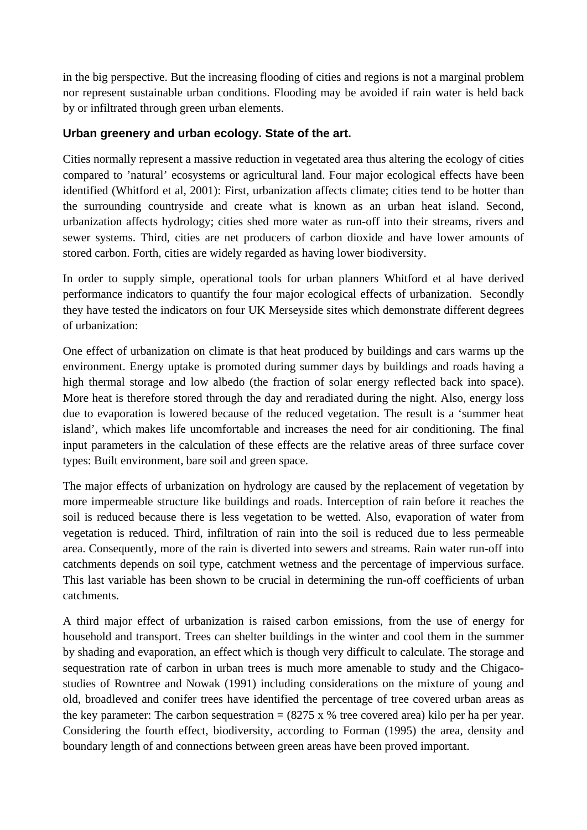in the big perspective. But the increasing flooding of cities and regions is not a marginal problem nor represent sustainable urban conditions. Flooding may be avoided if rain water is held back by or infiltrated through green urban elements.

# **Urban greenery and urban ecology. State of the art.**

Cities normally represent a massive reduction in vegetated area thus altering the ecology of cities compared to 'natural' ecosystems or agricultural land. Four major ecological effects have been identified (Whitford et al, 2001): First, urbanization affects climate; cities tend to be hotter than the surrounding countryside and create what is known as an urban heat island. Second, urbanization affects hydrology; cities shed more water as run-off into their streams, rivers and sewer systems. Third, cities are net producers of carbon dioxide and have lower amounts of stored carbon. Forth, cities are widely regarded as having lower biodiversity.

In order to supply simple, operational tools for urban planners Whitford et al have derived performance indicators to quantify the four major ecological effects of urbanization. Secondly they have tested the indicators on four UK Merseyside sites which demonstrate different degrees of urbanization:

One effect of urbanization on climate is that heat produced by buildings and cars warms up the environment. Energy uptake is promoted during summer days by buildings and roads having a high thermal storage and low albedo (the fraction of solar energy reflected back into space). More heat is therefore stored through the day and reradiated during the night. Also, energy loss due to evaporation is lowered because of the reduced vegetation. The result is a 'summer heat island', which makes life uncomfortable and increases the need for air conditioning. The final input parameters in the calculation of these effects are the relative areas of three surface cover types: Built environment, bare soil and green space.

The major effects of urbanization on hydrology are caused by the replacement of vegetation by more impermeable structure like buildings and roads. Interception of rain before it reaches the soil is reduced because there is less vegetation to be wetted. Also, evaporation of water from vegetation is reduced. Third, infiltration of rain into the soil is reduced due to less permeable area. Consequently, more of the rain is diverted into sewers and streams. Rain water run-off into catchments depends on soil type, catchment wetness and the percentage of impervious surface. This last variable has been shown to be crucial in determining the run-off coefficients of urban catchments.

A third major effect of urbanization is raised carbon emissions, from the use of energy for household and transport. Trees can shelter buildings in the winter and cool them in the summer by shading and evaporation, an effect which is though very difficult to calculate. The storage and sequestration rate of carbon in urban trees is much more amenable to study and the Chigacostudies of Rowntree and Nowak (1991) including considerations on the mixture of young and old, broadleved and conifer trees have identified the percentage of tree covered urban areas as the key parameter: The carbon sequestration  $= (8275 \times %$  tree covered area) kilo per ha per year. Considering the fourth effect, biodiversity, according to Forman (1995) the area, density and boundary length of and connections between green areas have been proved important.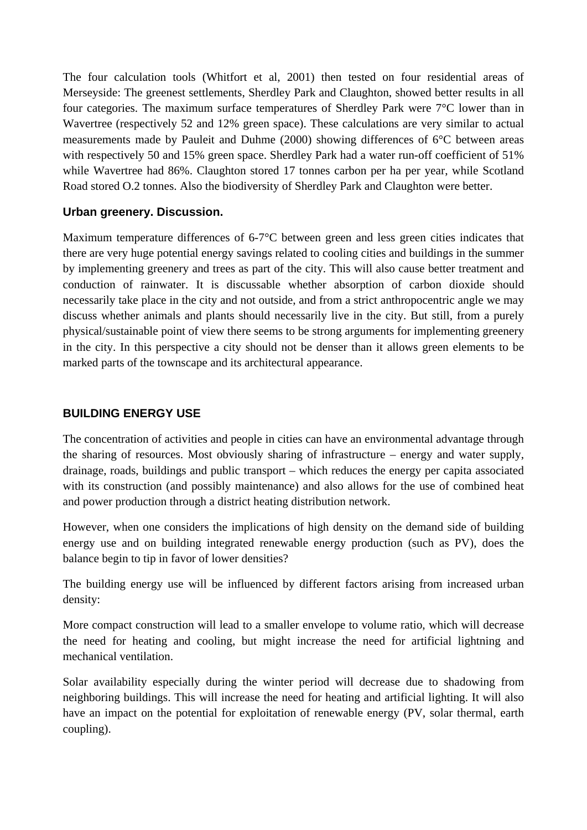The four calculation tools (Whitfort et al, 2001) then tested on four residential areas of Merseyside: The greenest settlements, Sherdley Park and Claughton, showed better results in all four categories. The maximum surface temperatures of Sherdley Park were 7°C lower than in Wavertree (respectively 52 and 12% green space). These calculations are very similar to actual measurements made by Pauleit and Duhme (2000) showing differences of 6°C between areas with respectively 50 and 15% green space. Sherdley Park had a water run-off coefficient of 51% while Wavertree had 86%. Claughton stored 17 tonnes carbon per ha per year, while Scotland Road stored O.2 tonnes. Also the biodiversity of Sherdley Park and Claughton were better.

## **Urban greenery. Discussion.**

Maximum temperature differences of 6-7°C between green and less green cities indicates that there are very huge potential energy savings related to cooling cities and buildings in the summer by implementing greenery and trees as part of the city. This will also cause better treatment and conduction of rainwater. It is discussable whether absorption of carbon dioxide should necessarily take place in the city and not outside, and from a strict anthropocentric angle we may discuss whether animals and plants should necessarily live in the city. But still, from a purely physical/sustainable point of view there seems to be strong arguments for implementing greenery in the city. In this perspective a city should not be denser than it allows green elements to be marked parts of the townscape and its architectural appearance.

## **BUILDING ENERGY USE**

The concentration of activities and people in cities can have an environmental advantage through the sharing of resources. Most obviously sharing of infrastructure – energy and water supply, drainage, roads, buildings and public transport – which reduces the energy per capita associated with its construction (and possibly maintenance) and also allows for the use of combined heat and power production through a district heating distribution network.

However, when one considers the implications of high density on the demand side of building energy use and on building integrated renewable energy production (such as PV), does the balance begin to tip in favor of lower densities?

The building energy use will be influenced by different factors arising from increased urban density:

More compact construction will lead to a smaller envelope to volume ratio, which will decrease the need for heating and cooling, but might increase the need for artificial lightning and mechanical ventilation.

Solar availability especially during the winter period will decrease due to shadowing from neighboring buildings. This will increase the need for heating and artificial lighting. It will also have an impact on the potential for exploitation of renewable energy (PV, solar thermal, earth coupling).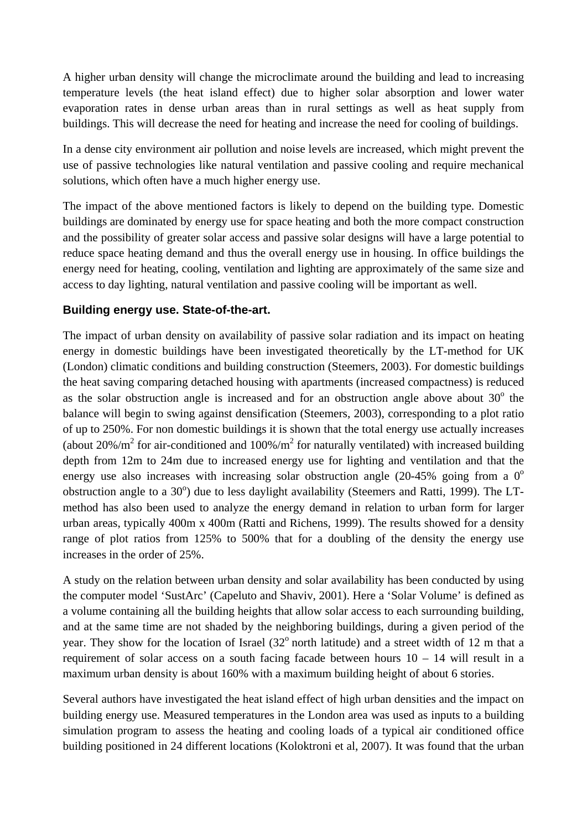A higher urban density will change the microclimate around the building and lead to increasing temperature levels (the heat island effect) due to higher solar absorption and lower water evaporation rates in dense urban areas than in rural settings as well as heat supply from buildings. This will decrease the need for heating and increase the need for cooling of buildings.

In a dense city environment air pollution and noise levels are increased, which might prevent the use of passive technologies like natural ventilation and passive cooling and require mechanical solutions, which often have a much higher energy use.

The impact of the above mentioned factors is likely to depend on the building type. Domestic buildings are dominated by energy use for space heating and both the more compact construction and the possibility of greater solar access and passive solar designs will have a large potential to reduce space heating demand and thus the overall energy use in housing. In office buildings the energy need for heating, cooling, ventilation and lighting are approximately of the same size and access to day lighting, natural ventilation and passive cooling will be important as well.

# **Building energy use. State-of-the-art.**

The impact of urban density on availability of passive solar radiation and its impact on heating energy in domestic buildings have been investigated theoretically by the LT-method for UK (London) climatic conditions and building construction (Steemers, 2003). For domestic buildings the heat saving comparing detached housing with apartments (increased compactness) is reduced as the solar obstruction angle is increased and for an obstruction angle above about  $30^{\circ}$  the balance will begin to swing against densification (Steemers, 2003), corresponding to a plot ratio of up to 250%. For non domestic buildings it is shown that the total energy use actually increases (about  $20\%/m^2$  for air-conditioned and  $100\%/m^2$  for naturally ventilated) with increased building depth from 12m to 24m due to increased energy use for lighting and ventilation and that the energy use also increases with increasing solar obstruction angle  $(20-45\%$  going from a  $0^\circ$ obstruction angle to a 30°) due to less daylight availability (Steemers and Ratti, 1999). The LTmethod has also been used to analyze the energy demand in relation to urban form for larger urban areas, typically 400m x 400m (Ratti and Richens, 1999). The results showed for a density range of plot ratios from 125% to 500% that for a doubling of the density the energy use increases in the order of 25%.

A study on the relation between urban density and solar availability has been conducted by using the computer model 'SustArc' (Capeluto and Shaviv, 2001). Here a 'Solar Volume' is defined as a volume containing all the building heights that allow solar access to each surrounding building, and at the same time are not shaded by the neighboring buildings, during a given period of the year. They show for the location of Israel  $(32^{\circ}$  north latitude) and a street width of 12 m that a requirement of solar access on a south facing facade between hours  $10 - 14$  will result in a maximum urban density is about 160% with a maximum building height of about 6 stories.

Several authors have investigated the heat island effect of high urban densities and the impact on building energy use. Measured temperatures in the London area was used as inputs to a building simulation program to assess the heating and cooling loads of a typical air conditioned office building positioned in 24 different locations (Koloktroni et al, 2007). It was found that the urban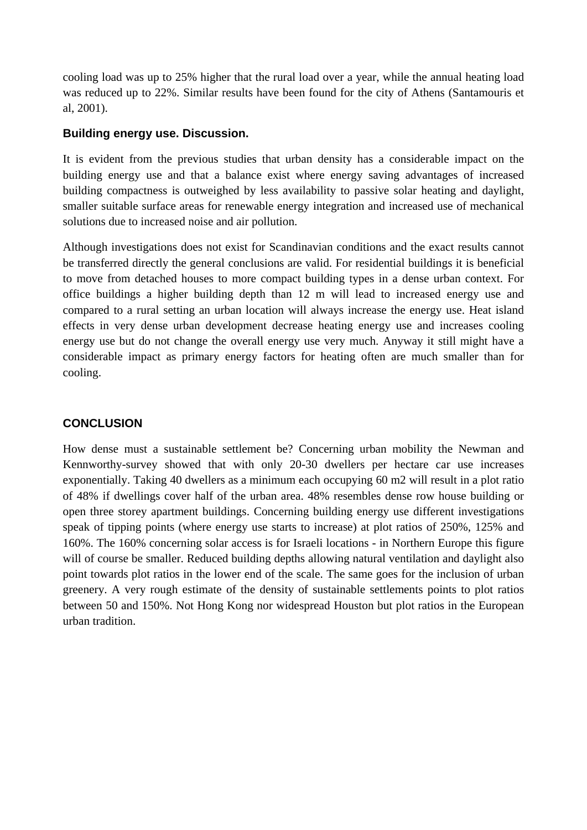cooling load was up to 25% higher that the rural load over a year, while the annual heating load was reduced up to 22%. Similar results have been found for the city of Athens (Santamouris et al, 2001).

#### **Building energy use. Discussion.**

It is evident from the previous studies that urban density has a considerable impact on the building energy use and that a balance exist where energy saving advantages of increased building compactness is outweighed by less availability to passive solar heating and daylight, smaller suitable surface areas for renewable energy integration and increased use of mechanical solutions due to increased noise and air pollution.

Although investigations does not exist for Scandinavian conditions and the exact results cannot be transferred directly the general conclusions are valid. For residential buildings it is beneficial to move from detached houses to more compact building types in a dense urban context. For office buildings a higher building depth than 12 m will lead to increased energy use and compared to a rural setting an urban location will always increase the energy use. Heat island effects in very dense urban development decrease heating energy use and increases cooling energy use but do not change the overall energy use very much. Anyway it still might have a considerable impact as primary energy factors for heating often are much smaller than for cooling.

# **CONCLUSION**

How dense must a sustainable settlement be? Concerning urban mobility the Newman and Kennworthy-survey showed that with only 20-30 dwellers per hectare car use increases exponentially. Taking 40 dwellers as a minimum each occupying 60 m2 will result in a plot ratio of 48% if dwellings cover half of the urban area. 48% resembles dense row house building or open three storey apartment buildings. Concerning building energy use different investigations speak of tipping points (where energy use starts to increase) at plot ratios of 250%, 125% and 160%. The 160% concerning solar access is for Israeli locations - in Northern Europe this figure will of course be smaller. Reduced building depths allowing natural ventilation and daylight also point towards plot ratios in the lower end of the scale. The same goes for the inclusion of urban greenery. A very rough estimate of the density of sustainable settlements points to plot ratios between 50 and 150%. Not Hong Kong nor widespread Houston but plot ratios in the European urban tradition.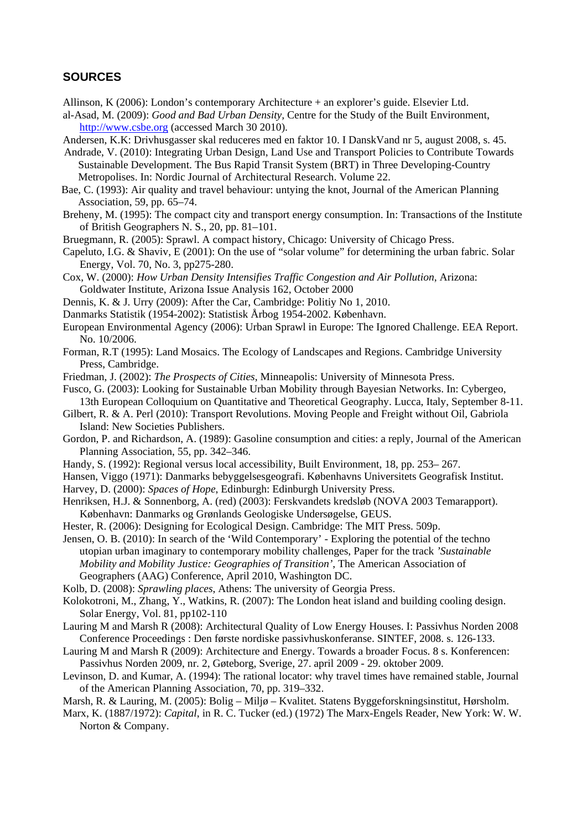#### **SOURCES**

- Allinson, K (2006): London's contemporary Architecture + an explorer's guide. Elsevier Ltd.
- al-Asad, M. (2009): *Good and Bad Urban Density,* Centre for the Study of the Built Environment, [http://www.csbe.org](http://www.csbe.org/) (accessed March 30 2010).
- Andersen, K.K: Drivhusgasser skal reduceres med en faktor 10. I DanskVand nr 5, august 2008, s. 45.
- Andrade, V. (2010): Integrating Urban Design, Land Use and Transport Policies to Contribute Towards Sustainable Development. The Bus Rapid Transit System (BRT) in Three Developing-Country Metropolises. In: Nordic Journal of Architectural Research. Volume 22.
- Bae, C. (1993): Air quality and travel behaviour: untying the knot, Journal of the American Planning Association, 59, pp. 65–74.
- Breheny, M. (1995): The compact city and transport energy consumption. In: Transactions of the Institute of British Geographers N. S., 20, pp. 81–101.
- Bruegmann, R. (2005): Sprawl. A compact history, Chicago: University of Chicago Press.
- Capeluto, I.G. & Shaviv, E (2001): On the use of "solar volume" for determining the urban fabric. Solar Energy, Vol. 70, No. 3, pp275-280.
- Cox, W. (2000): *How Urban Density Intensifies Traffic Congestion and Air Pollution*, Arizona: Goldwater Institute, Arizona Issue Analysis 162, October 2000
- Dennis, K. & J. Urry (2009): After the Car, Cambridge: Politiy No 1, 2010.
- Danmarks Statistik (1954-2002): Statistisk Årbog 1954-2002. København.
- European Environmental Agency (2006): Urban Sprawl in Europe: The Ignored Challenge. EEA Report. No. 10/2006.
- Forman, R.T (1995): Land Mosaics. The Ecology of Landscapes and Regions. Cambridge University Press, Cambridge.
- Friedman, J. (2002): *The Prospects of Cities*, Minneapolis: University of Minnesota Press.
- Fusco, G. (2003): Looking for Sustainable Urban Mobility through Bayesian Networks. In: Cybergeo, 13th European Colloquium on Quantitative and Theoretical Geography. Lucca, Italy, September 8-11.
- Gilbert, R. & A. Perl (2010): Transport Revolutions. Moving People and Freight without Oil, Gabriola Island: New Societies Publishers.
- Gordon, P. and Richardson, A. (1989): Gasoline consumption and cities: a reply, Journal of the American Planning Association, 55, pp. 342–346.
- Handy, S. (1992): Regional versus local accessibility, Built Environment, 18, pp. 253– 267.
- Hansen, Viggo (1971): Danmarks bebyggelsesgeografi. Københavns Universitets Geografisk Institut.
- Harvey, D. (2000): *Spaces of Hope*, Edinburgh: Edinburgh University Press.
- Henriksen, H.J. & Sonnenborg, A. (red) (2003): Ferskvandets kredsløb (NOVA 2003 Temarapport). København: Danmarks og Grønlands Geologiske Undersøgelse, GEUS.
- Hester, R. (2006): Designing for Ecological Design. Cambridge: The MIT Press. 509p.
- Jensen, O. B. (2010): In search of the 'Wild Contemporary' Exploring the potential of the techno utopian urban imaginary to contemporary mobility challenges, Paper for the track *'Sustainable Mobility and Mobility Justice: Geographies of Transition'*, The American Association of Geographers (AAG) Conference, April 2010, Washington DC.
- Kolb, D. (2008): *Sprawling places*, Athens: The university of Georgia Press.

Kolokotroni, M., Zhang, Y., Watkins, R. (2007): The London heat island and building cooling design. Solar Energy, Vol. 81, pp102-110

- Lauring M and Marsh R (2008): Architectural Quality of Low Energy Houses. I: Passivhus Norden 2008 Conference Proceedings : Den første nordiske passivhuskonferanse. SINTEF, 2008. s. 126-133.
- Lauring M and Marsh R (2009): Architecture and Energy. Towards a broader Focus. 8 s. Konferencen: Passivhus Norden 2009, nr. 2, Gøteborg, Sverige, 27. april 2009 - 29. oktober 2009.
- Levinson, D. and Kumar, A. (1994): The rational locator: why travel times have remained stable, Journal of the American Planning Association, 70, pp. 319–332.
- Marsh, R. & Lauring, M. (2005): Bolig Miljø Kvalitet. Statens Byggeforskningsinstitut, Hørsholm.
- Marx, K. (1887/1972): *Capital*, in R. C. Tucker (ed.) (1972) The Marx-Engels Reader, New York: W. W. Norton & Company.